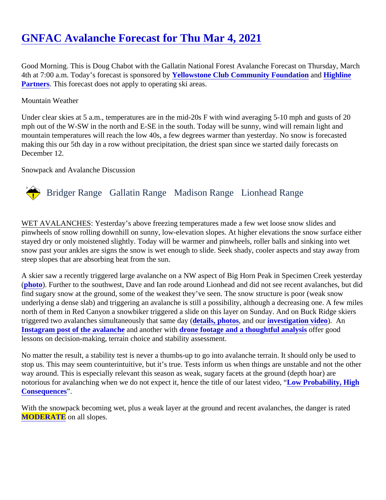# [GNFAC Avalanche Forecast for Thu Mar 4, 2021](https://www.mtavalanche.com/forecast/21/03/04)

Good Morning. This is Doug Chabot with the Gallatin National Forest Avalanche Forecast on Thursday, March 4th at 7:00 a.m. Today's forecast is sponsore deliowstone Club Community Foundation an[d Highline](http://highline-partners.com/) [Partners.](http://highline-partners.com/) This forecast does not apply to operating ski areas.

#### Mountain Weather

Under clear skies at 5 a.m., temperatures are in the mid-20s F with wind averaging 5-10 mph and gusts of 20 mph out of the W-SW in the north and E-SE in the south. Today will be sunny, wind will remain light and mountain temperatures will reach the low 40s, a few degrees warmer than yesterday. No snow is forecasted making this our 5th day in a row without precipitation, the driest span since we started daily forecasts on December 12.

Snowpack and Avalanche Discussion

### Bridger Range Gallatin Range Madison RangeLionhead Range

WET AVALANCHES: Yesterday's above freezing temperatures made a few wet loose snow slides and pinwheels of snow rolling downhill on sunny, low-elevation slopes. At higher elevations the snow surface eithe stayed dry or only moistened slightly. Today will be warmer and pinwheels, roller balls and sinking into wet snow past your ankles are signs the snow is wet enough to slide. Seek shady, cooler aspects and stay away steep slopes that are absorbing heat from the sun.

A skier saw a recently triggered large avalanche on a NW aspect of Big Horn Peak in Specimen Creek yester [\(photo](https://www.mtavalanche.com/images/21/large-avalanche-big-horn-peak)). Further to the southwest, Dave and Ian rode around Lionhead and did not see recent avalanches, but find sugary snow at the ground, some of the weakest they've seen. The snow structure is poor (weak snow underlying a dense slab) and triggering an avalanche is still a possibility, although a decreasing one. A few m north of them in Red Canyon a snowbiker triggered a slide on this layer on Sunday. And on Buck Ridge skiers triggered two avalanches simultaneously that samedia is, photos and our investigation vided. An [Instagram post of the avalanch](https://www.instagram.com/p/CL4xIk5n8PZ/)e and another wit[h drone footage and a thoughtful analysi](https://www.instagram.com/p/CL-O-73AT5N/)s ffer good lessons on decision-making, terrain choice and stability assessment.

No matter the result, a stability test is never a thumbs-up to go into avalanche terrain. It should only be used t stop us. This may seem counterintuitive, but it's true. Tests inform us when things are unstable and not the ot way around. This is especially relevant this season as weak, sugary facets at the ground (depth hoar) are notorious for avalanching when we do not expect it, hence the title of our latest video, " robability, High **[Consequence](https://youtu.be/sEjcbv4AWYQ)s** 

With the snowpack becoming wet, plus a weak layer at the ground and recent avalanches, the danger is rated **MODERATE** on all slopes.